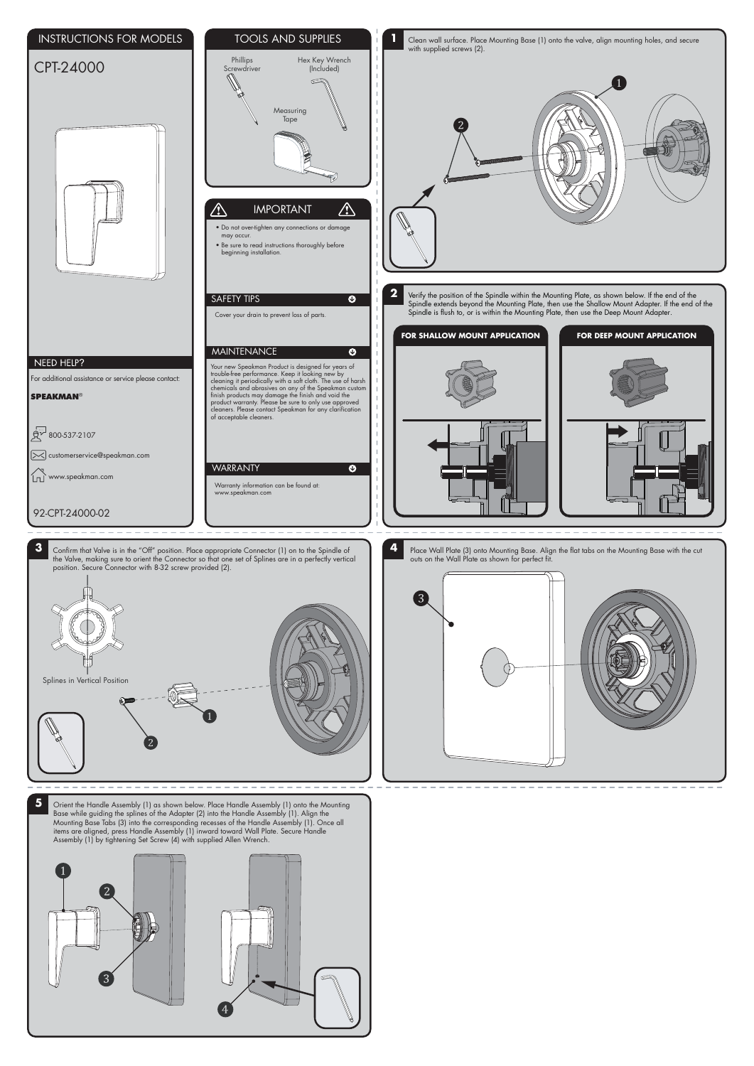

Base while guiding the splines of the Adapter (2) into the Handle Assembly (1). Align the Mounting Base Tabs (3) into the corresponding recesses of the Handle Assembly (1). Once all items are aligned, press Handle Assembly (1) inward toward Wall Plate. Secure Handle Assembly (1) by tightening Set Screw (4) with supplied Allen Wrench.